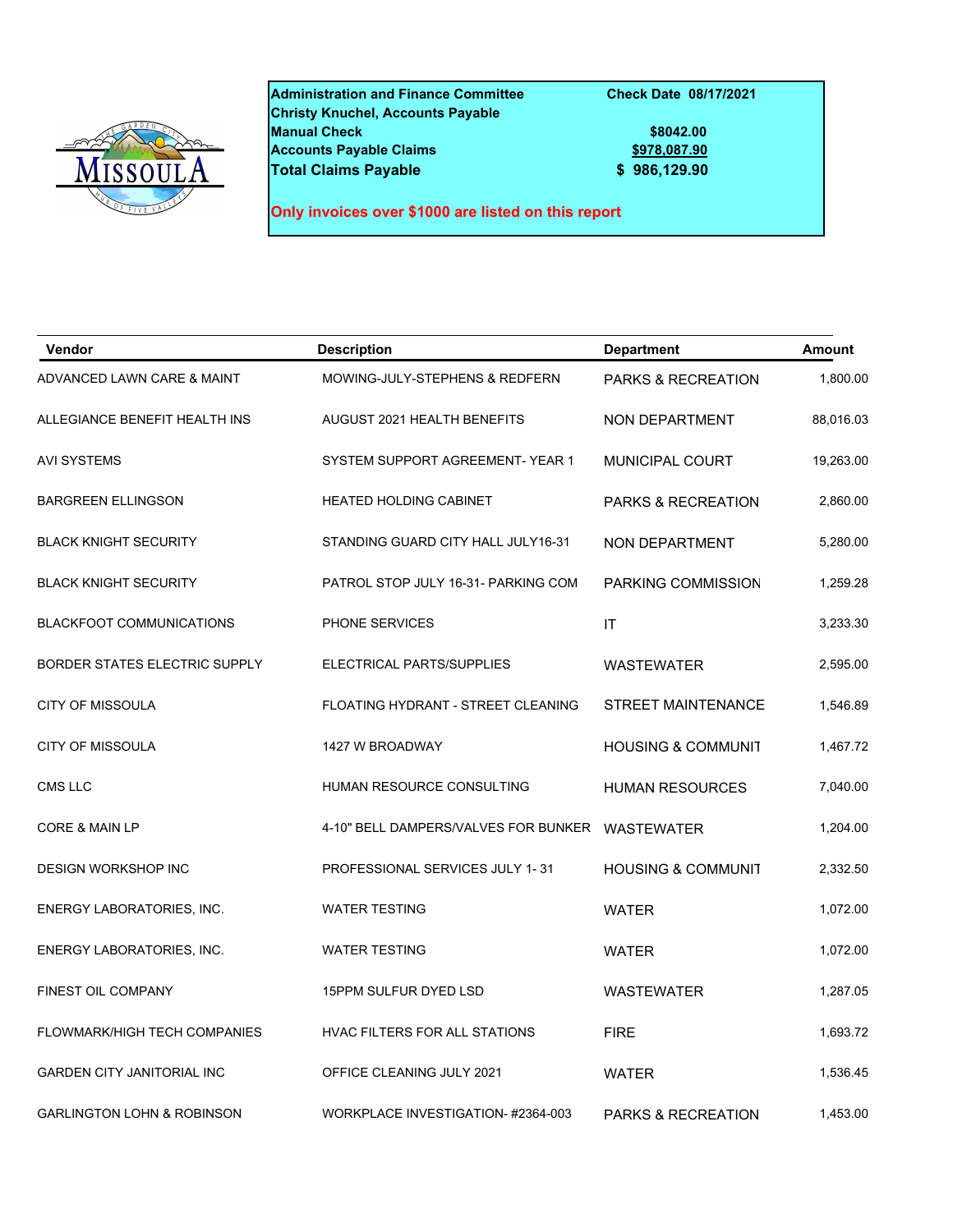

**Administration and Finance Committee Check Date 08/17/2021 Christy Knuchel, Accounts Payable Manual Check \$8042.00 Accounts Payable Claims Total Claims Payable 6 8 86,129.90** 

**Only invoices over \$1000 are listed on this report**

| <b>Vendor</b>                         | <b>Description</b>                   | <b>Department</b>             | <b>Amount</b> |
|---------------------------------------|--------------------------------------|-------------------------------|---------------|
| ADVANCED LAWN CARE & MAINT            | MOWING-JULY-STEPHENS & REDFERN       | <b>PARKS &amp; RECREATION</b> | 1,800.00      |
| ALLEGIANCE BENEFIT HEALTH INS         | AUGUST 2021 HEALTH BENEFITS          | <b>NON DEPARTMENT</b>         | 88,016.03     |
| <b>AVI SYSTEMS</b>                    | SYSTEM SUPPORT AGREEMENT-YEAR 1      | <b>MUNICIPAL COURT</b>        | 19,263.00     |
| <b>BARGREEN ELLINGSON</b>             | <b>HEATED HOLDING CABINET</b>        | <b>PARKS &amp; RECREATION</b> | 2,860.00      |
| <b>BLACK KNIGHT SECURITY</b>          | STANDING GUARD CITY HALL JULY16-31   | NON DEPARTMENT                | 5,280.00      |
| <b>BLACK KNIGHT SECURITY</b>          | PATROL STOP JULY 16-31- PARKING COM  | PARKING COMMISSION            | 1,259.28      |
| <b>BLACKFOOT COMMUNICATIONS</b>       | PHONE SERVICES                       | IT                            | 3,233.30      |
| BORDER STATES ELECTRIC SUPPLY         | ELECTRICAL PARTS/SUPPLIES            | <b>WASTEWATER</b>             | 2,595.00      |
| <b>CITY OF MISSOULA</b>               | FLOATING HYDRANT - STREET CLEANING   | <b>STREET MAINTENANCE</b>     | 1,546.89      |
| <b>CITY OF MISSOULA</b>               | 1427 W BROADWAY                      | <b>HOUSING &amp; COMMUNIT</b> | 1,467.72      |
| CMS LLC                               | HUMAN RESOURCE CONSULTING            | <b>HUMAN RESOURCES</b>        | 7,040.00      |
| <b>CORE &amp; MAIN LP</b>             | 4-10" BELL DAMPERS/VALVES FOR BUNKER | <b>WASTEWATER</b>             | 1,204.00      |
| <b>DESIGN WORKSHOP INC</b>            | PROFESSIONAL SERVICES JULY 1-31      | <b>HOUSING &amp; COMMUNIT</b> | 2,332.50      |
| ENERGY LABORATORIES, INC.             | <b>WATER TESTING</b>                 | <b>WATER</b>                  | 1,072.00      |
| ENERGY LABORATORIES, INC.             | <b>WATER TESTING</b>                 | <b>WATER</b>                  | 1,072.00      |
| FINEST OIL COMPANY                    | 15PPM SULFUR DYED LSD                | <b>WASTEWATER</b>             | 1,287.05      |
| FLOWMARK/HIGH TECH COMPANIES          | HVAC FILTERS FOR ALL STATIONS        | <b>FIRE</b>                   | 1,693.72      |
| <b>GARDEN CITY JANITORIAL INC</b>     | OFFICE CLEANING JULY 2021            | <b>WATER</b>                  | 1,536.45      |
| <b>GARLINGTON LOHN &amp; ROBINSON</b> | WORKPLACE INVESTIGATION-#2364-003    | PARKS & RECREATION            | 1,453.00      |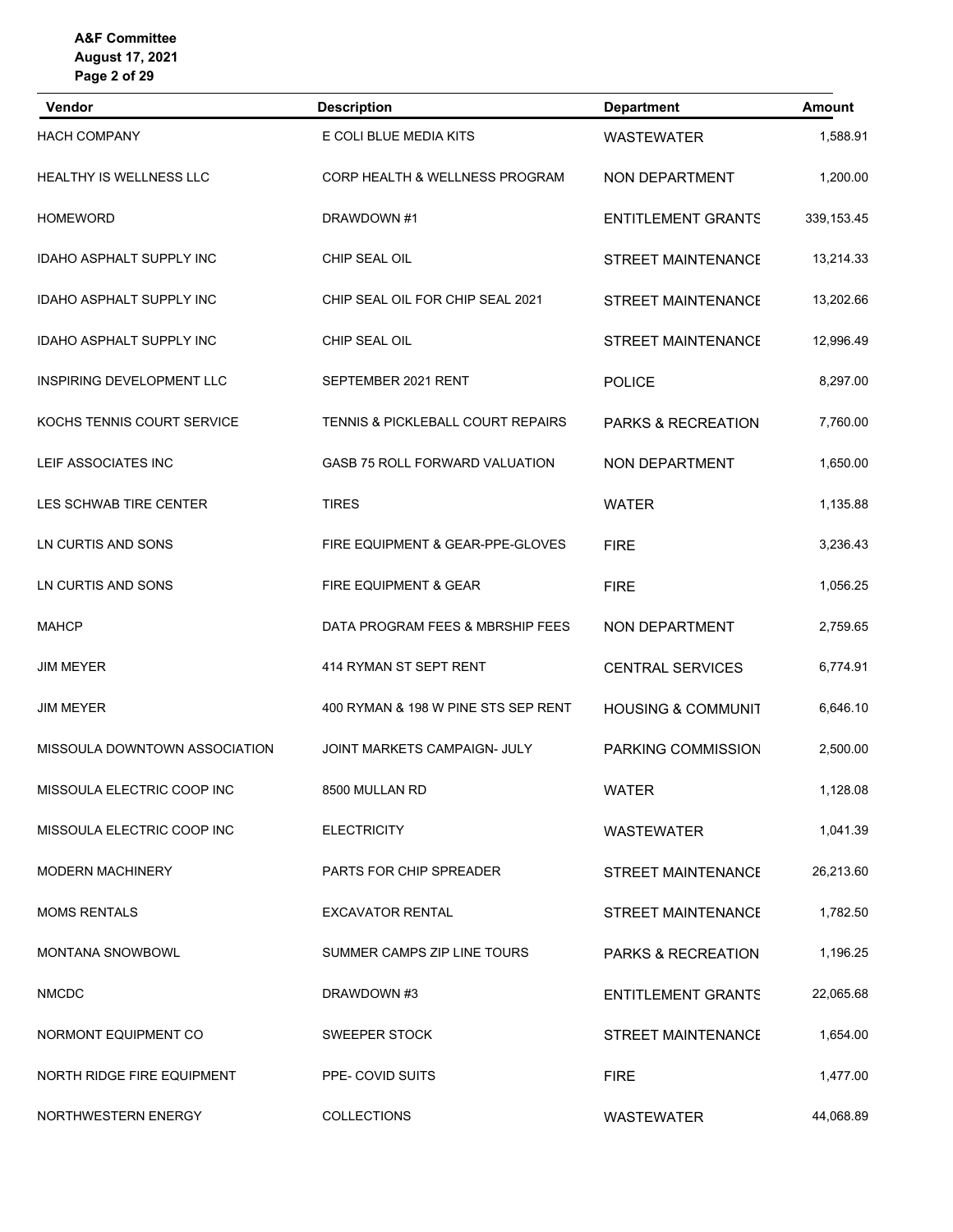| Vendor                          | <b>Description</b>                        | <b>Department</b>             | <b>Amount</b> |
|---------------------------------|-------------------------------------------|-------------------------------|---------------|
| <b>HACH COMPANY</b>             | E COLI BLUE MEDIA KITS                    | <b>WASTEWATER</b>             | 1,588.91      |
| <b>HEALTHY IS WELLNESS LLC</b>  | <b>CORP HEALTH &amp; WELLNESS PROGRAM</b> | NON DEPARTMENT                | 1,200.00      |
| <b>HOMEWORD</b>                 | DRAWDOWN #1                               | <b>ENTITLEMENT GRANTS</b>     | 339, 153.45   |
| <b>IDAHO ASPHALT SUPPLY INC</b> | CHIP SEAL OIL                             | <b>STREET MAINTENANCE</b>     | 13,214.33     |
| <b>IDAHO ASPHALT SUPPLY INC</b> | CHIP SEAL OIL FOR CHIP SEAL 2021          | <b>STREET MAINTENANCE</b>     | 13,202.66     |
| <b>IDAHO ASPHALT SUPPLY INC</b> | CHIP SEAL OIL                             | <b>STREET MAINTENANCE</b>     | 12,996.49     |
| INSPIRING DEVELOPMENT LLC       | SEPTEMBER 2021 RENT                       | <b>POLICE</b>                 | 8,297.00      |
| KOCHS TENNIS COURT SERVICE      | TENNIS & PICKLEBALL COURT REPAIRS         | PARKS & RECREATION            | 7,760.00      |
| LEIF ASSOCIATES INC             | <b>GASB 75 ROLL FORWARD VALUATION</b>     | NON DEPARTMENT                | 1,650.00      |
| LES SCHWAB TIRE CENTER          | <b>TIRES</b>                              | <b>WATER</b>                  | 1,135.88      |
| LN CURTIS AND SONS              | FIRE EQUIPMENT & GEAR-PPE-GLOVES          | <b>FIRE</b>                   | 3,236.43      |
| LN CURTIS AND SONS              | FIRE EQUIPMENT & GEAR                     | <b>FIRE</b>                   | 1,056.25      |
| <b>MAHCP</b>                    | DATA PROGRAM FEES & MBRSHIP FEES          | NON DEPARTMENT                | 2,759.65      |
| <b>JIM MEYER</b>                | 414 RYMAN ST SEPT RENT                    | <b>CENTRAL SERVICES</b>       | 6,774.91      |
| <b>JIM MEYER</b>                | 400 RYMAN & 198 W PINE STS SEP RENT       | <b>HOUSING &amp; COMMUNIT</b> | 6,646.10      |
| MISSOULA DOWNTOWN ASSOCIATION   | JOINT MARKETS CAMPAIGN- JULY              | PARKING COMMISSION            | 2,500.00      |
| MISSOULA ELECTRIC COOP INC      | 8500 MULLAN RD                            | <b>WATER</b>                  | 1,128.08      |
| MISSOULA ELECTRIC COOP INC      | <b>ELECTRICITY</b>                        | <b>WASTEWATER</b>             | 1,041.39      |
| <b>MODERN MACHINERY</b>         | PARTS FOR CHIP SPREADER                   | <b>STREET MAINTENANCE</b>     | 26,213.60     |
| <b>MOMS RENTALS</b>             | <b>EXCAVATOR RENTAL</b>                   | <b>STREET MAINTENANCE</b>     | 1,782.50      |
| MONTANA SNOWBOWL                | SUMMER CAMPS ZIP LINE TOURS               | PARKS & RECREATION            | 1,196.25      |
| <b>NMCDC</b>                    | DRAWDOWN #3                               | <b>ENTITLEMENT GRANTS</b>     | 22,065.68     |
| NORMONT EQUIPMENT CO            | SWEEPER STOCK                             | STREET MAINTENANCE            | 1,654.00      |
| NORTH RIDGE FIRE EQUIPMENT      | PPE- COVID SUITS                          | <b>FIRE</b>                   | 1,477.00      |
| NORTHWESTERN ENERGY             | <b>COLLECTIONS</b>                        | <b>WASTEWATER</b>             | 44,068.89     |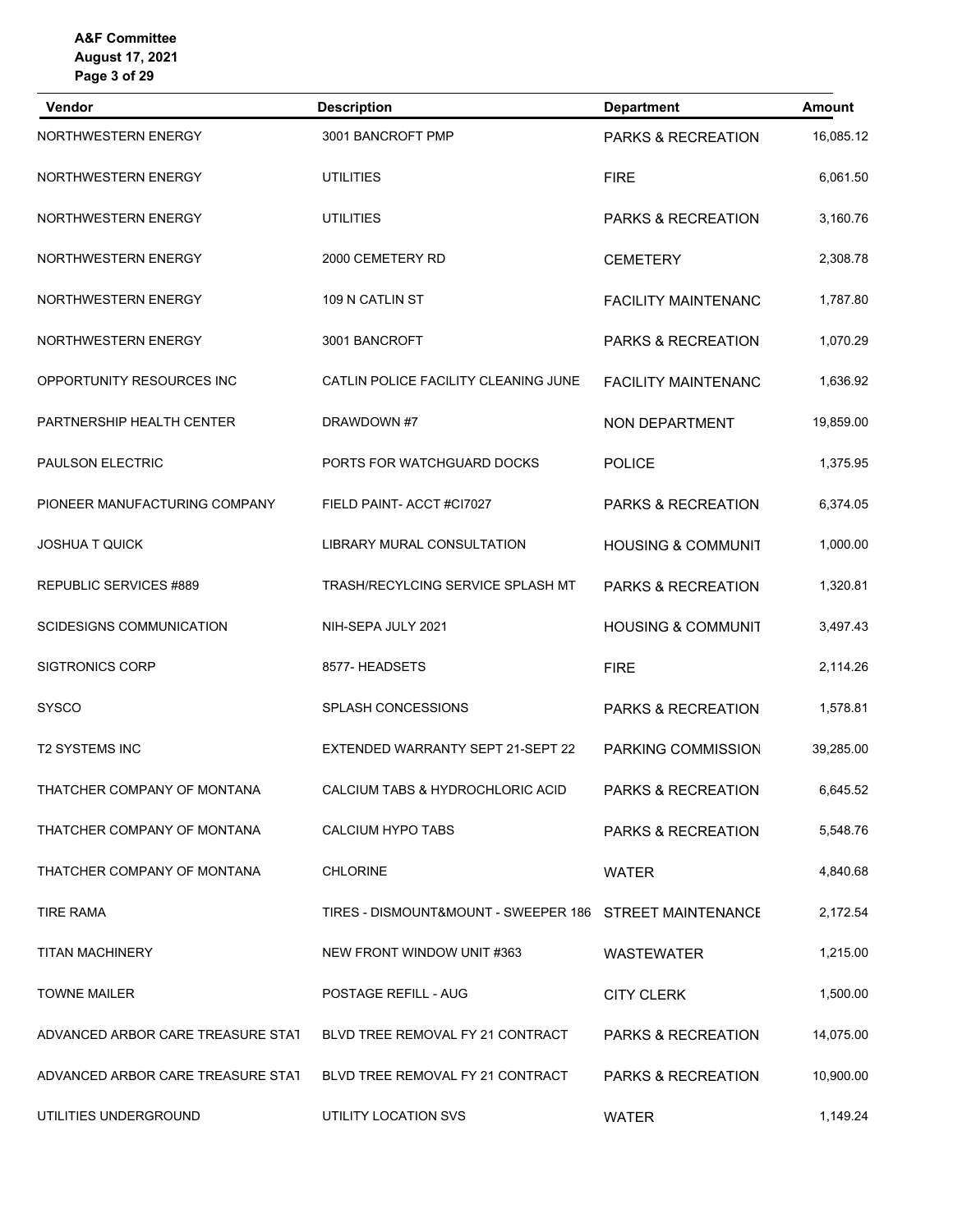| Vendor                            | <b>Description</b>                                      | <b>Department</b>             | <b>Amount</b> |
|-----------------------------------|---------------------------------------------------------|-------------------------------|---------------|
| NORTHWESTERN ENERGY               | 3001 BANCROFT PMP                                       | PARKS & RECREATION            | 16,085.12     |
| NORTHWESTERN ENERGY               | <b>UTILITIES</b>                                        | <b>FIRE</b>                   | 6,061.50      |
| NORTHWESTERN ENERGY               | <b>UTILITIES</b>                                        | PARKS & RECREATION            | 3,160.76      |
| NORTHWESTERN ENERGY               | 2000 CEMETERY RD                                        | <b>CEMETERY</b>               | 2,308.78      |
| NORTHWESTERN ENERGY               | 109 N CATLIN ST                                         | <b>FACILITY MAINTENANC</b>    | 1,787.80      |
| NORTHWESTERN ENERGY               | 3001 BANCROFT                                           | PARKS & RECREATION            | 1,070.29      |
| OPPORTUNITY RESOURCES INC         | CATLIN POLICE FACILITY CLEANING JUNE                    | <b>FACILITY MAINTENANC</b>    | 1,636.92      |
| PARTNERSHIP HEALTH CENTER         | DRAWDOWN #7                                             | NON DEPARTMENT                | 19,859.00     |
| PAULSON ELECTRIC                  | PORTS FOR WATCHGUARD DOCKS                              | <b>POLICE</b>                 | 1,375.95      |
| PIONEER MANUFACTURING COMPANY     | FIELD PAINT- ACCT #CI7027                               | PARKS & RECREATION            | 6,374.05      |
| <b>JOSHUA T QUICK</b>             | <b>LIBRARY MURAL CONSULTATION</b>                       | <b>HOUSING &amp; COMMUNIT</b> | 1,000.00      |
| REPUBLIC SERVICES #889            | TRASH/RECYLCING SERVICE SPLASH MT                       | PARKS & RECREATION            | 1,320.81      |
| <b>SCIDESIGNS COMMUNICATION</b>   | NIH-SEPA JULY 2021                                      | <b>HOUSING &amp; COMMUNIT</b> | 3,497.43      |
| <b>SIGTRONICS CORP</b>            | 8577- HEADSETS                                          | <b>FIRE</b>                   | 2,114.26      |
| <b>SYSCO</b>                      | <b>SPLASH CONCESSIONS</b>                               | PARKS & RECREATION            | 1,578.81      |
| <b>T2 SYSTEMS INC</b>             | EXTENDED WARRANTY SEPT 21-SEPT 22                       | PARKING COMMISSION            | 39,285.00     |
| THATCHER COMPANY OF MONTANA       | CALCIUM TABS & HYDROCHLORIC ACID                        | PARKS & RECREATION            | 6,645.52      |
| THATCHER COMPANY OF MONTANA       | CALCIUM HYPO TABS                                       | <b>PARKS &amp; RECREATION</b> | 5,548.76      |
| THATCHER COMPANY OF MONTANA       | <b>CHLORINE</b>                                         | <b>WATER</b>                  | 4,840.68      |
| <b>TIRE RAMA</b>                  | TIRES - DISMOUNT&MOUNT - SWEEPER 186 STREET MAINTENANCE |                               | 2,172.54      |
| <b>TITAN MACHINERY</b>            | NEW FRONT WINDOW UNIT #363                              | <b>WASTEWATER</b>             | 1,215.00      |
| <b>TOWNE MAILER</b>               | POSTAGE REFILL - AUG                                    | <b>CITY CLERK</b>             | 1,500.00      |
| ADVANCED ARBOR CARE TREASURE STAT | BLVD TREE REMOVAL FY 21 CONTRACT                        | <b>PARKS &amp; RECREATION</b> | 14,075.00     |
| ADVANCED ARBOR CARE TREASURE STAT | BLVD TREE REMOVAL FY 21 CONTRACT                        | PARKS & RECREATION            | 10,900.00     |
| UTILITIES UNDERGROUND             | UTILITY LOCATION SVS                                    | <b>WATER</b>                  | 1,149.24      |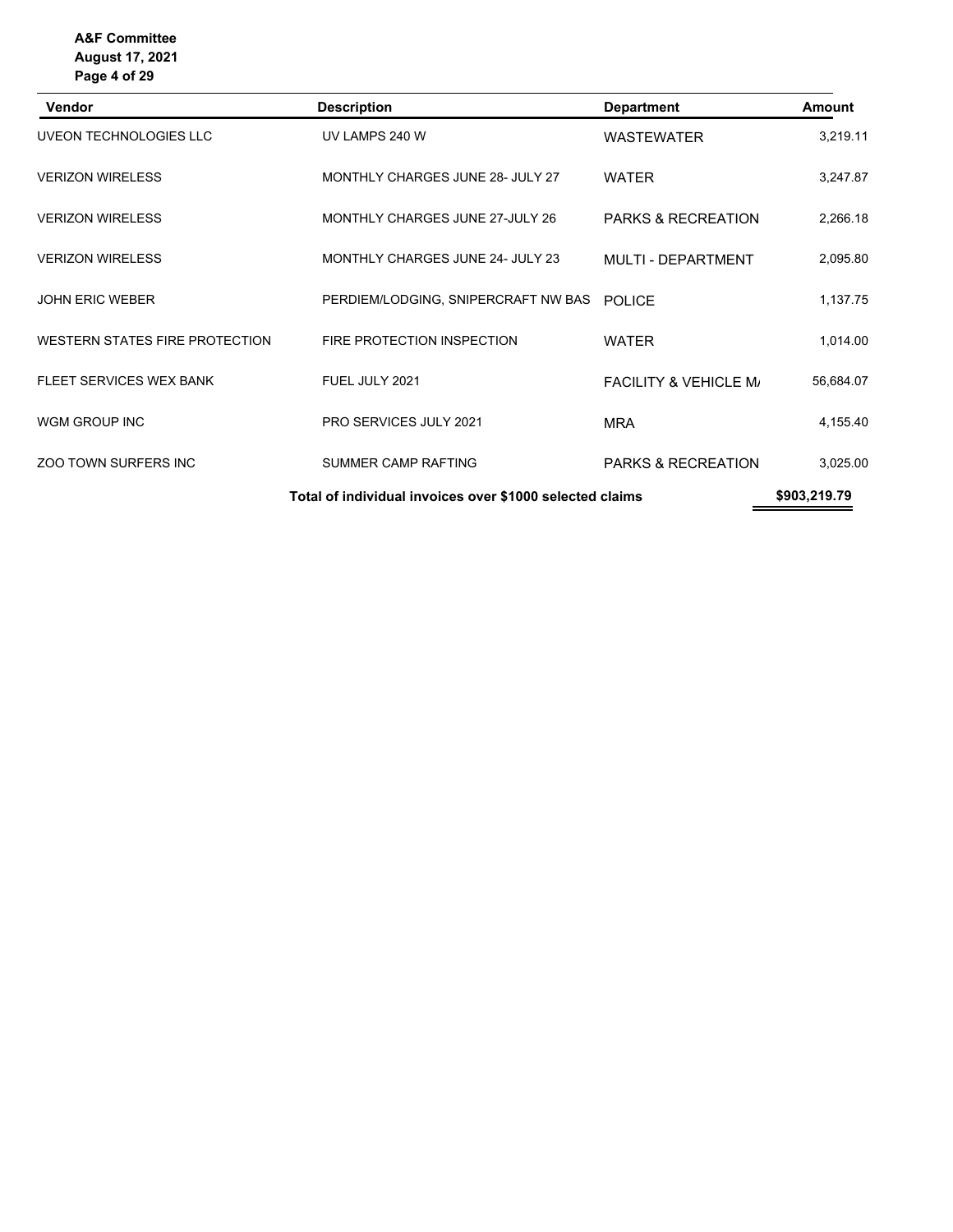| <b>Vendor</b>                                            | <b>Description</b>                         | <b>Department</b>                | <b>Amount</b> |
|----------------------------------------------------------|--------------------------------------------|----------------------------------|---------------|
| UVEON TECHNOLOGIES LLC                                   | UV LAMPS 240 W                             | <b>WASTEWATER</b>                | 3,219.11      |
| <b>VERIZON WIRELESS</b>                                  | MONTHLY CHARGES JUNE 28- JULY 27           | <b>WATER</b>                     |               |
| <b>VERIZON WIRELESS</b>                                  | MONTHLY CHARGES JUNE 27-JULY 26            | <b>PARKS &amp; RECREATION</b>    | 2,266.18      |
| <b>VERIZON WIRELESS</b>                                  | MONTHLY CHARGES JUNE 24- JULY 23           | MULTI - DEPARTMENT               | 2,095.80      |
| <b>JOHN ERIC WEBER</b>                                   | PERDIEM/LODGING, SNIPERCRAFT NW BAS POLICE |                                  | 1,137.75      |
| WESTERN STATES FIRE PROTECTION                           | FIRE PROTECTION INSPECTION                 | <b>WATER</b>                     | 1,014.00      |
| FLEET SERVICES WEX BANK                                  | FUEL JULY 2021                             | <b>FACILITY &amp; VEHICLE M/</b> | 56,684.07     |
| WGM GROUP INC                                            | <b>PRO SERVICES JULY 2021</b>              | <b>MRA</b>                       | 4,155.40      |
| <b>ZOO TOWN SURFERS INC</b>                              | SUMMER CAMP RAFTING                        | <b>PARKS &amp; RECREATION</b>    | 3,025.00      |
| Total of individual invoices over \$1000 selected claims |                                            | \$903,219.79                     |               |